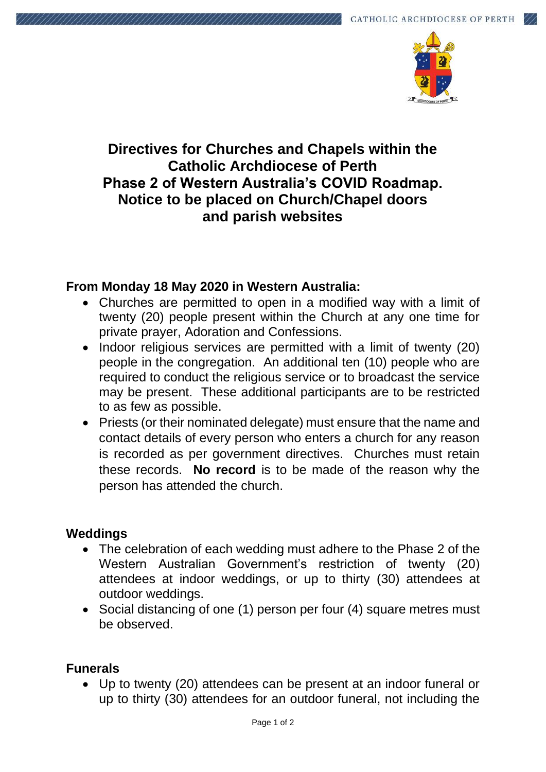

## **Directives for Churches and Chapels within the Catholic Archdiocese of Perth Phase 2 of Western Australia's COVID Roadmap. Notice to be placed on Church/Chapel doors and parish websites**

## **From Monday 18 May 2020 in Western Australia:**

- Churches are permitted to open in a modified way with a limit of twenty (20) people present within the Church at any one time for private prayer, Adoration and Confessions.
- Indoor religious services are permitted with a limit of twenty (20) people in the congregation. An additional ten (10) people who are required to conduct the religious service or to broadcast the service may be present. These additional participants are to be restricted to as few as possible.
- Priests (or their nominated delegate) must ensure that the name and contact details of every person who enters a church for any reason is recorded as per government directives. Churches must retain these records. **No record** is to be made of the reason why the person has attended the church.

## **Weddings**

- The celebration of each wedding must adhere to the Phase 2 of the Western Australian Government's restriction of twenty (20) attendees at indoor weddings, or up to thirty (30) attendees at outdoor weddings.
- Social distancing of one (1) person per four (4) square metres must be observed.

## **Funerals**

• Up to twenty (20) attendees can be present at an indoor funeral or up to thirty (30) attendees for an outdoor funeral, not including the